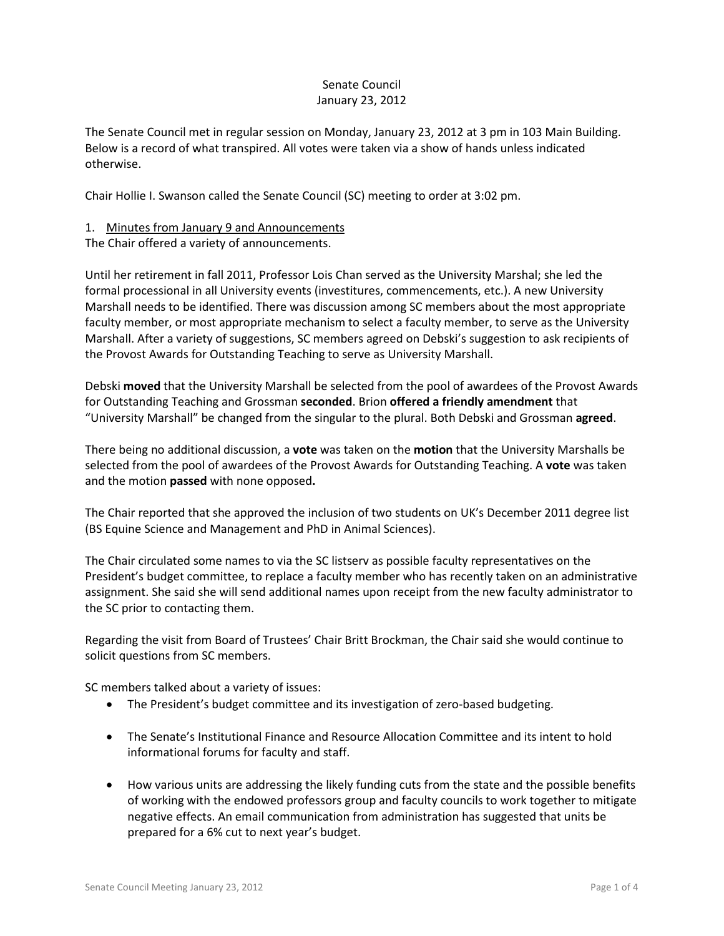## Senate Council January 23, 2012

The Senate Council met in regular session on Monday, January 23, 2012 at 3 pm in 103 Main Building. Below is a record of what transpired. All votes were taken via a show of hands unless indicated otherwise.

Chair Hollie I. Swanson called the Senate Council (SC) meeting to order at 3:02 pm.

## 1. Minutes from January 9 and Announcements

The Chair offered a variety of announcements.

Until her retirement in fall 2011, Professor Lois Chan served as the University Marshal; she led the formal processional in all University events (investitures, commencements, etc.). A new University Marshall needs to be identified. There was discussion among SC members about the most appropriate faculty member, or most appropriate mechanism to select a faculty member, to serve as the University Marshall. After a variety of suggestions, SC members agreed on Debski's suggestion to ask recipients of the Provost Awards for Outstanding Teaching to serve as University Marshall.

Debski **moved** that the University Marshall be selected from the pool of awardees of the Provost Awards for Outstanding Teaching and Grossman **seconded**. Brion **offered a friendly amendment** that "University Marshall" be changed from the singular to the plural. Both Debski and Grossman **agreed**.

There being no additional discussion, a **vote** was taken on the **motion** that the University Marshalls be selected from the pool of awardees of the Provost Awards for Outstanding Teaching. A **vote** was taken and the motion **passed** with none opposed**.**

The Chair reported that she approved the inclusion of two students on UK's December 2011 degree list (BS Equine Science and Management and PhD in Animal Sciences).

The Chair circulated some names to via the SC listserv as possible faculty representatives on the President's budget committee, to replace a faculty member who has recently taken on an administrative assignment. She said she will send additional names upon receipt from the new faculty administrator to the SC prior to contacting them.

Regarding the visit from Board of Trustees' Chair Britt Brockman, the Chair said she would continue to solicit questions from SC members.

SC members talked about a variety of issues:

- The President's budget committee and its investigation of zero-based budgeting.
- The Senate's Institutional Finance and Resource Allocation Committee and its intent to hold informational forums for faculty and staff.
- How various units are addressing the likely funding cuts from the state and the possible benefits of working with the endowed professors group and faculty councils to work together to mitigate negative effects. An email communication from administration has suggested that units be prepared for a 6% cut to next year's budget.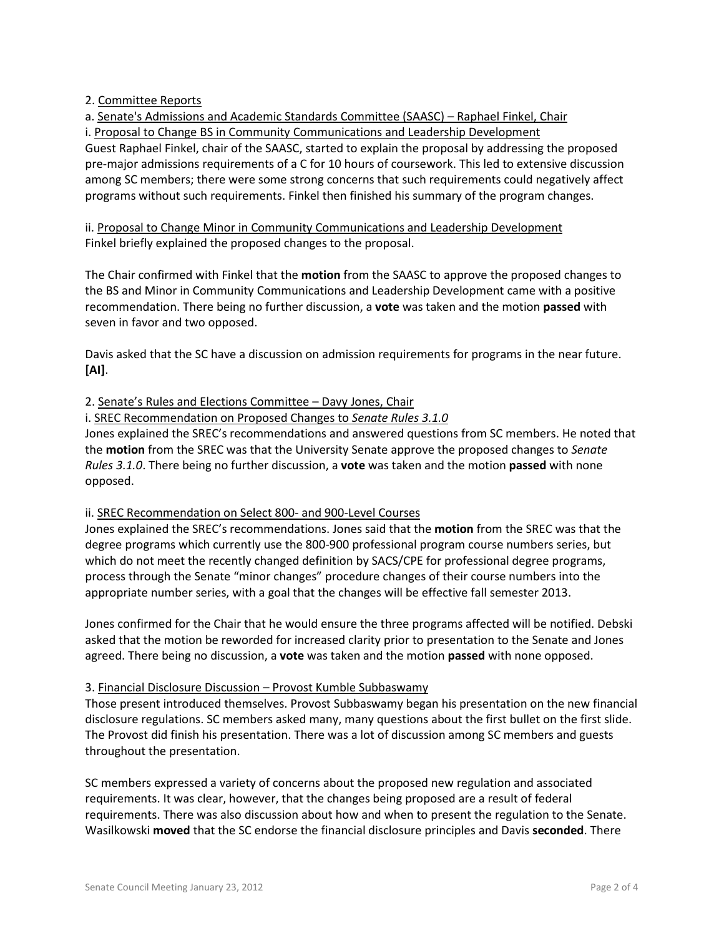2. Committee Reports

a. Senate's Admissions and Academic Standards Committee (SAASC) – Raphael Finkel, Chair i. Proposal to Change BS in Community Communications and Leadership Development Guest Raphael Finkel, chair of the SAASC, started to explain the proposal by addressing the proposed pre-major admissions requirements of a C for 10 hours of coursework. This led to extensive discussion among SC members; there were some strong concerns that such requirements could negatively affect programs without such requirements. Finkel then finished his summary of the program changes.

ii. Proposal to Change Minor in Community Communications and Leadership Development Finkel briefly explained the proposed changes to the proposal.

The Chair confirmed with Finkel that the **motion** from the SAASC to approve the proposed changes to the BS and Minor in Community Communications and Leadership Development came with a positive recommendation. There being no further discussion, a **vote** was taken and the motion **passed** with seven in favor and two opposed.

Davis asked that the SC have a discussion on admission requirements for programs in the near future. **[AI]**.

2. Senate's Rules and Elections Committee – Davy Jones, Chair

i. SREC Recommendation on Proposed Changes to *Senate Rules 3.1.0*

Jones explained the SREC's recommendations and answered questions from SC members. He noted that the **motion** from the SREC was that the University Senate approve the proposed changes to *Senate Rules 3.1.0*. There being no further discussion, a **vote** was taken and the motion **passed** with none opposed.

## ii. SREC Recommendation on Select 800- and 900-Level Courses

Jones explained the SREC's recommendations. Jones said that the **motion** from the SREC was that the degree programs which currently use the 800-900 professional program course numbers series, but which do not meet the recently changed definition by SACS/CPE for professional degree programs, process through the Senate "minor changes" procedure changes of their course numbers into the appropriate number series, with a goal that the changes will be effective fall semester 2013.

Jones confirmed for the Chair that he would ensure the three programs affected will be notified. Debski asked that the motion be reworded for increased clarity prior to presentation to the Senate and Jones agreed. There being no discussion, a **vote** was taken and the motion **passed** with none opposed.

## 3. Financial Disclosure Discussion – Provost Kumble Subbaswamy

Those present introduced themselves. Provost Subbaswamy began his presentation on the new financial disclosure regulations. SC members asked many, many questions about the first bullet on the first slide. The Provost did finish his presentation. There was a lot of discussion among SC members and guests throughout the presentation.

SC members expressed a variety of concerns about the proposed new regulation and associated requirements. It was clear, however, that the changes being proposed are a result of federal requirements. There was also discussion about how and when to present the regulation to the Senate. Wasilkowski **moved** that the SC endorse the financial disclosure principles and Davis **seconded**. There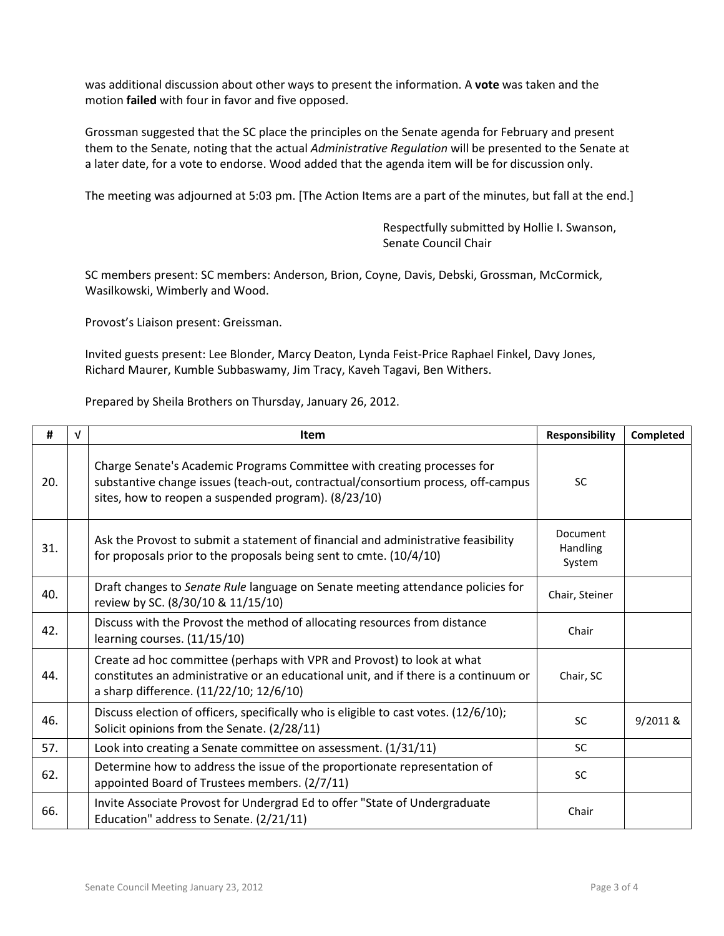was additional discussion about other ways to present the information. A **vote** was taken and the motion **failed** with four in favor and five opposed.

Grossman suggested that the SC place the principles on the Senate agenda for February and present them to the Senate, noting that the actual *Administrative Regulation* will be presented to the Senate at a later date, for a vote to endorse. Wood added that the agenda item will be for discussion only.

The meeting was adjourned at 5:03 pm. [The Action Items are a part of the minutes, but fall at the end.]

Respectfully submitted by Hollie I. Swanson, Senate Council Chair

SC members present: SC members: Anderson, Brion, Coyne, Davis, Debski, Grossman, McCormick, Wasilkowski, Wimberly and Wood.

Provost's Liaison present: Greissman.

Invited guests present: Lee Blonder, Marcy Deaton, Lynda Feist-Price Raphael Finkel, Davy Jones, Richard Maurer, Kumble Subbaswamy, Jim Tracy, Kaveh Tagavi, Ben Withers.

Prepared by Sheila Brothers on Thursday, January 26, 2012.

| #   | V | <b>Item</b>                                                                                                                                                                                                         | <b>Responsibility</b>          | Completed |
|-----|---|---------------------------------------------------------------------------------------------------------------------------------------------------------------------------------------------------------------------|--------------------------------|-----------|
| 20. |   | Charge Senate's Academic Programs Committee with creating processes for<br>substantive change issues (teach-out, contractual/consortium process, off-campus<br>sites, how to reopen a suspended program). (8/23/10) | <b>SC</b>                      |           |
| 31. |   | Ask the Provost to submit a statement of financial and administrative feasibility<br>for proposals prior to the proposals being sent to cmte. (10/4/10)                                                             | Document<br>Handling<br>System |           |
| 40. |   | Draft changes to Senate Rule language on Senate meeting attendance policies for<br>review by SC. (8/30/10 & 11/15/10)                                                                                               | Chair, Steiner                 |           |
| 42. |   | Discuss with the Provost the method of allocating resources from distance<br>learning courses. (11/15/10)                                                                                                           | Chair                          |           |
| 44. |   | Create ad hoc committee (perhaps with VPR and Provost) to look at what<br>constitutes an administrative or an educational unit, and if there is a continuum or<br>a sharp difference. (11/22/10; 12/6/10)           | Chair, SC                      |           |
| 46. |   | Discuss election of officers, specifically who is eligible to cast votes. (12/6/10);<br>Solicit opinions from the Senate. (2/28/11)                                                                                 | <b>SC</b>                      | 9/2011 &  |
| 57. |   | Look into creating a Senate committee on assessment. (1/31/11)                                                                                                                                                      | SC                             |           |
| 62. |   | Determine how to address the issue of the proportionate representation of<br>appointed Board of Trustees members. (2/7/11)                                                                                          | <b>SC</b>                      |           |
| 66. |   | Invite Associate Provost for Undergrad Ed to offer "State of Undergraduate<br>Education" address to Senate. (2/21/11)                                                                                               | Chair                          |           |